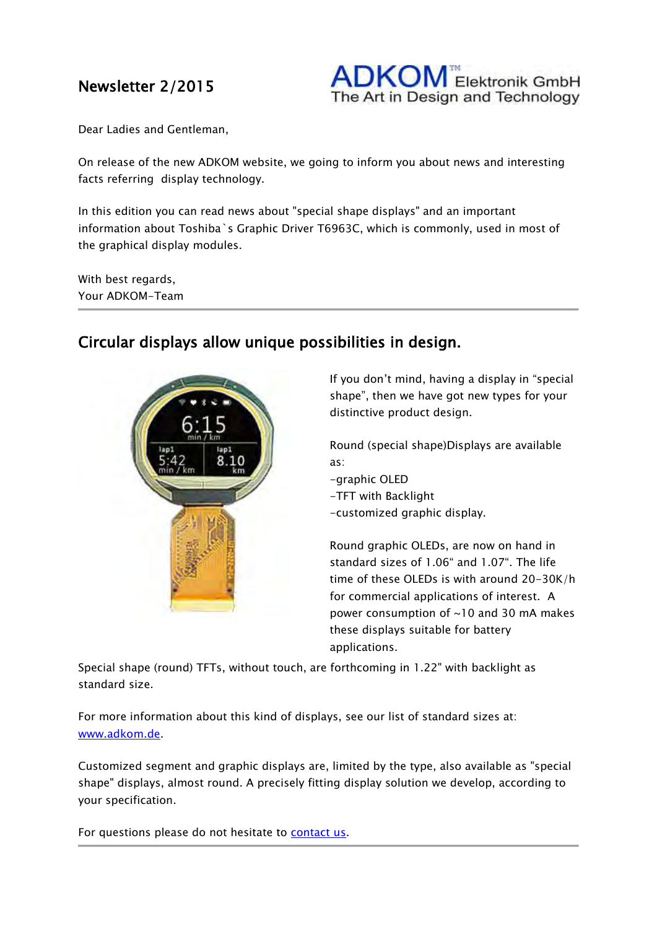## Newsletter 2/2015

 $DKOM^{\tiny \textsf{m}}$  Elektronik GmbH The Art in Design and Technology

Dear Ladies and Gentleman,

On release of the new ADKOM website, we going to inform you about news and interesting facts referring display technology.

In this edition you can read news about "special shape displays" and an important information about Toshiba`s Graphic Driver T6963C, which is commonly, used in most of the graphical display modules.

With best regards, Your ADKOM-Team



## Circular displays allow unique possibilities in design.

If you don't mind, having a display in "special shape", then we have got new types for your distinctive product design.

Round (special shape)Displays are available as:

- -graphic OLED
- -TFT with Backlight
- -customized graphic display.

Round graphic OLEDs, are now on hand in standard sizes of 1.06" and 1.07". The life time of these OLEDs is with around 20-30K/h for commercial applications of interest. A power consumption of ~10 and 30 mA makes these displays suitable for battery applications.

Special shape (round) TFTs, without touch, are forthcoming in 1.22" with backlight as standard size.

For more information about this kind of displays, see our list of standard sizes at: [www.adkom.de.](http://www.adkom.de/en/)

Customized segment and graphic displays are, limited by the type, also available as "special shape" displays, almost round. A precisely fitting display solution we develop, according to your specification.

For questions please do not hesitate to [contact us.](http://www.adkom.de/en/contact/)